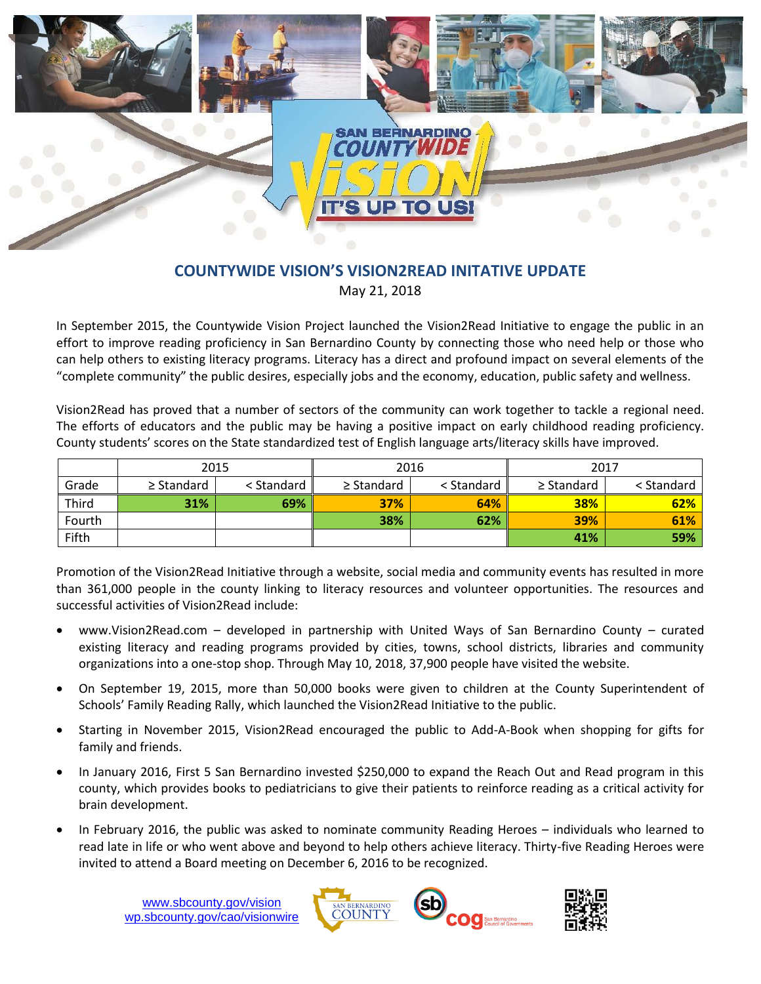

## **COUNTYWIDE VISION'S VISION2READ INITATIVE UPDATE** May 21, 2018

In September 2015, the Countywide Vision Project launched the Vision2Read Initiative to engage the public in an effort to improve reading proficiency in San Bernardino County by connecting those who need help or those who can help others to existing literacy programs. Literacy has a direct and profound impact on several elements of the "complete community" the public desires, especially jobs and the economy, education, public safety and wellness.

Vision2Read has proved that a number of sectors of the community can work together to tackle a regional need. The efforts of educators and the public may be having a positive impact on early childhood reading proficiency. County students' scores on the State standardized test of English language arts/literacy skills have improved.

|        | 2015            |            | 2016            |            | 2017            |            |
|--------|-----------------|------------|-----------------|------------|-----------------|------------|
| Grade  | $\geq$ Standard | < Standard | $\geq$ Standard | < Standard | $\geq$ Standard | < Standard |
| Third  | 31%             | 69%        | 37%             | 64%        | <b>38%</b>      | 62%        |
| Fourth |                 |            | 38%             | 62%        | 39%             | 61%        |
| Fifth  |                 |            |                 |            | 41%             | 59%        |

Promotion of the Vision2Read Initiative through a website, social media and community events has resulted in more than 361,000 people in the county linking to literacy resources and volunteer opportunities. The resources and successful activities of Vision2Read include:

- www.Vision2Read.com developed in partnership with United Ways of San Bernardino County curated existing literacy and reading programs provided by cities, towns, school districts, libraries and community organizations into a one-stop shop. Through May 10, 2018, 37,900 people have visited the website.
- On September 19, 2015, more than 50,000 books were given to children at the County Superintendent of Schools' Family Reading Rally, which launched the Vision2Read Initiative to the public.
- Starting in November 2015, Vision2Read encouraged the public to Add-A-Book when shopping for gifts for family and friends.
- In January 2016, First 5 San Bernardino invested \$250,000 to expand the Reach Out and Read program in this county, which provides books to pediatricians to give their patients to reinforce reading as a critical activity for brain development.
- In February 2016, the public was asked to nominate community Reading Heroes individuals who learned to read late in life or who went above and beyond to help others achieve literacy. Thirty-five Reading Heroes were invited to attend a Board meeting on December 6, 2016 to be recognized.